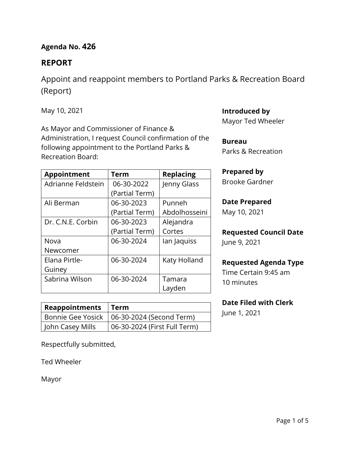## **Agenda No. 426**

## **REPORT**

Appoint and reappoint members to Portland Parks & Recreation Board (Report)

May 10, 2021

As Mayor and Commissioner of Finance & Administration, I request Council confirmation of the following appointment to the Portland Parks & Recreation Board:

| Appointment        | <b>Term</b>    | <b>Replacing</b> |  |
|--------------------|----------------|------------------|--|
| Adrianne Feldstein | 06-30-2022     | Jenny Glass      |  |
|                    | (Partial Term) |                  |  |
| Ali Berman         | 06-30-2023     | Punneh           |  |
|                    | (Partial Term) | Abdolhosseini    |  |
| Dr. C.N.E. Corbin  | 06-30-2023     | Alejandra        |  |
|                    | (Partial Term) | Cortes           |  |
| Nova               | 06-30-2024     | lan Jaquiss      |  |
| Newcomer           |                |                  |  |
| Elana Pirtle-      | 06-30-2024     | Katy Holland     |  |
| Guiney             |                |                  |  |
| Sabrina Wilson     | 06-30-2024     | Tamara           |  |
|                    |                | Layden           |  |

| Reappointments   Term |                                              |
|-----------------------|----------------------------------------------|
|                       | Bonnie Gee Yosick   06-30-2024 (Second Term) |
| John Casey Mills      | 06-30-2024 (First Full Term)                 |

Respectfully submitted,

Ted Wheeler

Mayor

## **Introduced by**

Mayor Ted Wheeler

**Bureau**

Parks & Recreation

## **Prepared by**

Brooke Gardner

# **Date Prepared**

May 10, 2021

# **Requested Council Date**

June 9, 2021

## **Requested Agenda Type**

Time Certain 9:45 am 10 minutes

## **Date Filed with Clerk**

June 1, 2021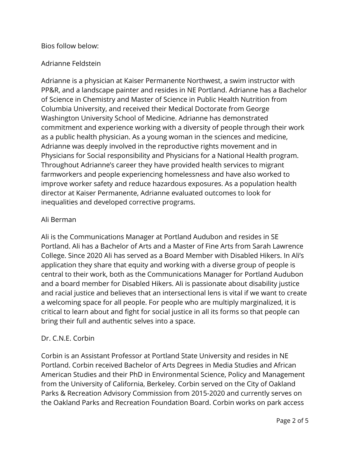### Bios follow below:

## Adrianne Feldstein

Adrianne is a physician at Kaiser Permanente Northwest, a swim instructor with PP&R, and a landscape painter and resides in NE Portland. Adrianne has a Bachelor of Science in Chemistry and Master of Science in Public Health Nutrition from Columbia University, and received their Medical Doctorate from George Washington University School of Medicine. Adrianne has demonstrated commitment and experience working with a diversity of people through their work as a public health physician. As a young woman in the sciences and medicine, Adrianne was deeply involved in the reproductive rights movement and in Physicians for Social responsibility and Physicians for a National Health program. Throughout Adrianne's career they have provided health services to migrant farmworkers and people experiencing homelessness and have also worked to improve worker safety and reduce hazardous exposures. As a population health director at Kaiser Permanente, Adrianne evaluated outcomes to look for inequalities and developed corrective programs.

## Ali Berman

Ali is the Communications Manager at Portland Audubon and resides in SE Portland. Ali has a Bachelor of Arts and a Master of Fine Arts from Sarah Lawrence College. Since 2020 Ali has served as a Board Member with Disabled Hikers. In Ali's application they share that equity and working with a diverse group of people is central to their work, both as the Communications Manager for Portland Audubon and a board member for Disabled Hikers. Ali is passionate about disability justice and racial justice and believes that an intersectional lens is vital if we want to create a welcoming space for all people. For people who are multiply marginalized, it is critical to learn about and fight for social justice in all its forms so that people can bring their full and authentic selves into a space.

#### Dr. C.N.E. Corbin

Corbin is an Assistant Professor at Portland State University and resides in NE Portland. Corbin received Bachelor of Arts Degrees in Media Studies and African American Studies and their PhD in Environmental Science, Policy and Management from the University of California, Berkeley. Corbin served on the City of Oakland Parks & Recreation Advisory Commission from 2015-2020 and currently serves on the Oakland Parks and Recreation Foundation Board. Corbin works on park access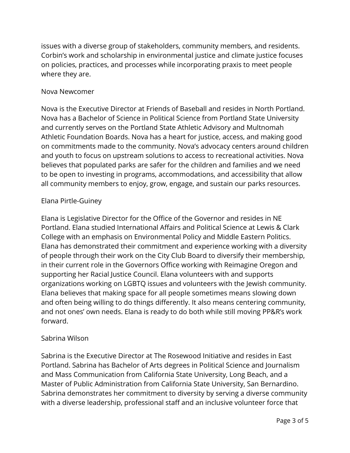issues with a diverse group of stakeholders, community members, and residents. Corbin's work and scholarship in environmental justice and climate justice focuses on policies, practices, and processes while incorporating praxis to meet people where they are.

### Nova Newcomer

Nova is the Executive Director at Friends of Baseball and resides in North Portland. Nova has a Bachelor of Science in Political Science from Portland State University and currently serves on the Portland State Athletic Advisory and Multnomah Athletic Foundation Boards. Nova has a heart for justice, access, and making good on commitments made to the community. Nova's advocacy centers around children and youth to focus on upstream solutions to access to recreational activities. Nova believes that populated parks are safer for the children and families and we need to be open to investing in programs, accommodations, and accessibility that allow all community members to enjoy, grow, engage, and sustain our parks resources.

## Elana Pirtle-Guiney

Elana is Legislative Director for the Office of the Governor and resides in NE Portland. Elana studied International Affairs and Political Science at Lewis & Clark College with an emphasis on Environmental Policy and Middle Eastern Politics. Elana has demonstrated their commitment and experience working with a diversity of people through their work on the City Club Board to diversify their membership, in their current role in the Governors Office working with Reimagine Oregon and supporting her Racial Justice Council. Elana volunteers with and supports organizations working on LGBTQ issues and volunteers with the Jewish community. Elana believes that making space for all people sometimes means slowing down and often being willing to do things differently. It also means centering community, and not ones' own needs. Elana is ready to do both while still moving PP&R's work forward.

## Sabrina Wilson

Sabrina is the Executive Director at The Rosewood Initiative and resides in East Portland. Sabrina has Bachelor of Arts degrees in Political Science and Journalism and Mass Communication from California State University, Long Beach, and a Master of Public Administration from California State University, San Bernardino. Sabrina demonstrates her commitment to diversity by serving a diverse community with a diverse leadership, professional staff and an inclusive volunteer force that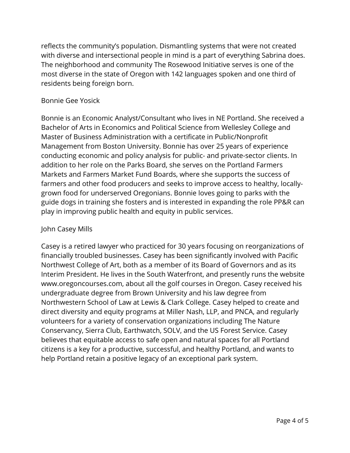reflects the community's population. Dismantling systems that were not created with diverse and intersectional people in mind is a part of everything Sabrina does. The neighborhood and community The Rosewood Initiative serves is one of the most diverse in the state of Oregon with 142 languages spoken and one third of residents being foreign born.

#### Bonnie Gee Yosick

Bonnie is an Economic Analyst/Consultant who lives in NE Portland. She received a Bachelor of Arts in Economics and Political Science from Wellesley College and Master of Business Administration with a certificate in Public/Nonprofit Management from Boston University. Bonnie has over 25 years of experience conducting economic and policy analysis for public- and private-sector clients. In addition to her role on the Parks Board, she serves on the Portland Farmers Markets and Farmers Market Fund Boards, where she supports the success of farmers and other food producers and seeks to improve access to healthy, locallygrown food for underserved Oregonians. Bonnie loves going to parks with the guide dogs in training she fosters and is interested in expanding the role PP&R can play in improving public health and equity in public services.

#### John Casey Mills

Casey is a retired lawyer who practiced for 30 years focusing on reorganizations of financially troubled businesses. Casey has been significantly involved with Pacific Northwest College of Art, both as a member of its Board of Governors and as its Interim President. He lives in the South Waterfront, and presently runs the website www.oregoncourses.com, about all the golf courses in Oregon. Casey received his undergraduate degree from Brown University and his law degree from Northwestern School of Law at Lewis & Clark College. Casey helped to create and direct diversity and equity programs at Miller Nash, LLP, and PNCA, and regularly volunteers for a variety of conservation organizations including The Nature Conservancy, Sierra Club, Earthwatch, SOLV, and the US Forest Service. Casey believes that equitable access to safe open and natural spaces for all Portland citizens is a key for a productive, successful, and healthy Portland, and wants to help Portland retain a positive legacy of an exceptional park system.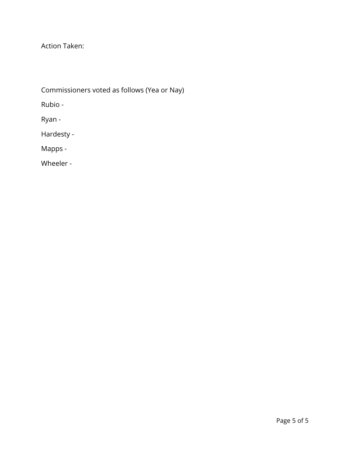Action Taken:

Commissioners voted as follows (Yea or Nay)

Rubio -

Ryan -

Hardesty -

Mapps -

Wheeler -